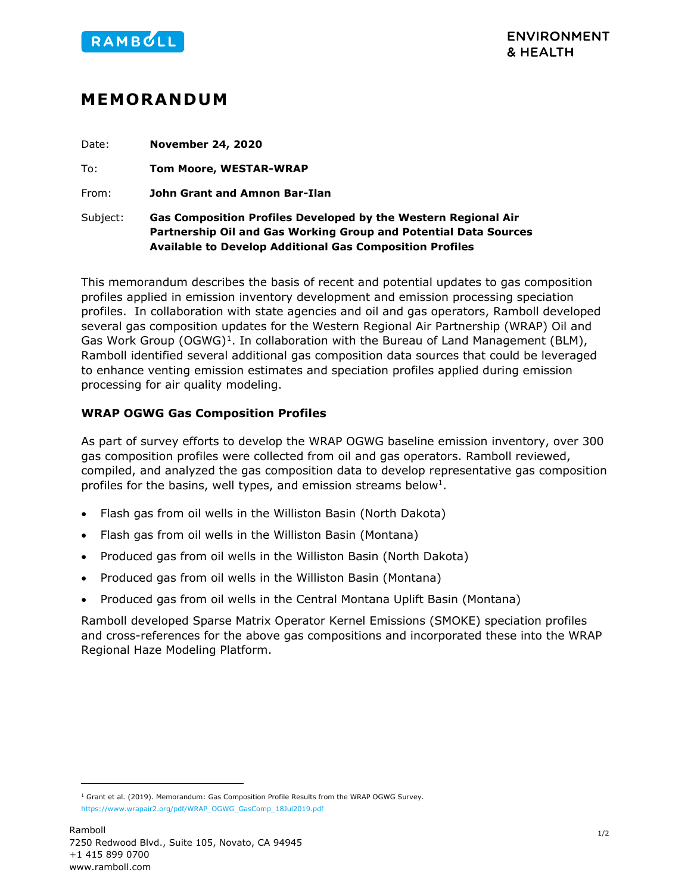

## **MEMORANDUM**

| Date:    | <b>November 24, 2020</b>                                                                                                                                                                              |
|----------|-------------------------------------------------------------------------------------------------------------------------------------------------------------------------------------------------------|
| To:      | <b>Tom Moore, WESTAR-WRAP</b>                                                                                                                                                                         |
| From:    | John Grant and Amnon Bar-Ilan                                                                                                                                                                         |
| Subject: | Gas Composition Profiles Developed by the Western Regional Air<br>Partnership Oil and Gas Working Group and Potential Data Sources<br><b>Available to Develop Additional Gas Composition Profiles</b> |

<span id="page-0-0"></span>This memorandum describes the basis of recent and potential updates to gas composition profiles applied in emission inventory development and emission processing speciation profiles. In collaboration with state agencies and oil and gas operators, Ramboll developed several gas composition updates for the Western Regional Air Partnership (WRAP) Oil and Gas Work Group  $(OGWG)^1$  $(OGWG)^1$ . In collaboration with the Bureau of Land Management (BLM), Ramboll identified several additional gas composition data sources that could be leveraged to enhance venting emission estimates and speciation profiles applied during emission processing for air quality modeling.

## **WRAP OGWG Gas Composition Profiles**

As part of survey efforts to develop the WRAP OGWG baseline emission inventory, over 300 gas composition profiles were collected from oil and gas operators. Ramboll reviewed, compiled, and analyzed the gas composition data to develop representative gas composition profiles for the basins, well types, and emission streams below<sup>1</sup>.

- Flash gas from oil wells in the Williston Basin (North Dakota)
- Flash gas from oil wells in the Williston Basin (Montana)
- Produced gas from oil wells in the Williston Basin (North Dakota)
- Produced gas from oil wells in the Williston Basin (Montana)
- Produced gas from oil wells in the Central Montana Uplift Basin (Montana)

Ramboll developed Sparse Matrix Operator Kernel Emissions (SMOKE) speciation profiles and cross-references for the above gas compositions and incorporated these into the WRAP Regional Haze Modeling Platform.

<span id="page-0-1"></span> $1$  Grant et al. (2019). Memorandum: Gas Composition Profile Results from the WRAP OGWG Survey. [https://www.wrapair2.org/pdf/WRAP\\_OGWG\\_GasComp\\_18Jul2019.pdf](https://www.wrapair2.org/pdf/WRAP_OGWG_GasComp_18Jul2019.pdf)